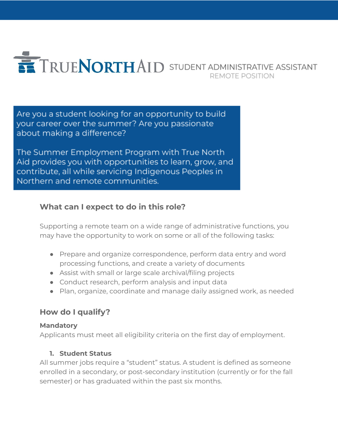

Are you a student looking for an opportunity to build your career over the summer? Are you passionate about making a difference?

The Summer Employment Program with True North Aid provides you with opportunities to learn, grow, and contribute, all while servicing Indigenous Peoples in Northern and remote communities.

# **What can I expect to do in this role?**

Supporting a remote team on a wide range of administrative functions, you may have the opportunity to work on some or all of the following tasks:

- Prepare and organize correspondence, perform data entry and word processing functions, and create a variety of documents
- Assist with small or large scale archival/filing projects
- Conduct research, perform analysis and input data
- Plan, organize, coordinate and manage daily assigned work, as needed

# **How do I qualify?**

## **Mandatory**

Applicants must meet all eligibility criteria on the first day of employment.

## **1. Student Status**

All summer jobs require a "student" status. A student is defined as someone enrolled in a secondary, or post-secondary institution (currently or for the fall semester) or has graduated within the past six months.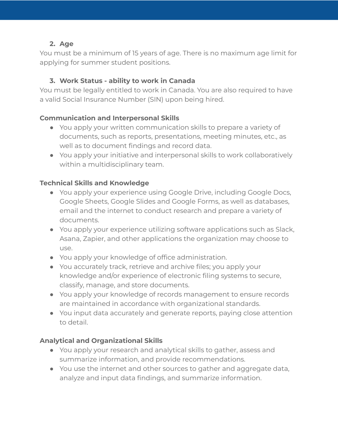#### **2. Age**

You must be a minimum of 15 years of age. There is no maximum age limit for applying for summer student positions.

#### **3. Work Status - ability to work in Canada**

You must be legally entitled to work in Canada. You are also required to have a valid Social Insurance Number (SIN) upon being hired.

#### **Communication and Interpersonal Skills**

- You apply your written communication skills to prepare a variety of documents, such as reports, presentations, meeting minutes, etc., as well as to document findings and record data.
- You apply your initiative and interpersonal skills to work collaboratively within a multidisciplinary team.

#### **Technical Skills and Knowledge**

- You apply your experience using Google Drive, including Google Docs, Google Sheets, Google Slides and Google Forms, as well as databases, email and the internet to conduct research and prepare a variety of documents.
- You apply your experience utilizing software applications such as Slack, Asana, Zapier, and other applications the organization may choose to use.
- You apply your knowledge of office administration.
- You accurately track, retrieve and archive files; you apply your knowledge and/or experience of electronic filing systems to secure, classify, manage, and store documents.
- You apply your knowledge of records management to ensure records are maintained in accordance with organizational standards.
- You input data accurately and generate reports, paying close attention to detail.

#### **Analytical and Organizational Skills**

- You apply your research and analytical skills to gather, assess and summarize information, and provide recommendations.
- You use the internet and other sources to gather and aggregate data, analyze and input data findings, and summarize information.